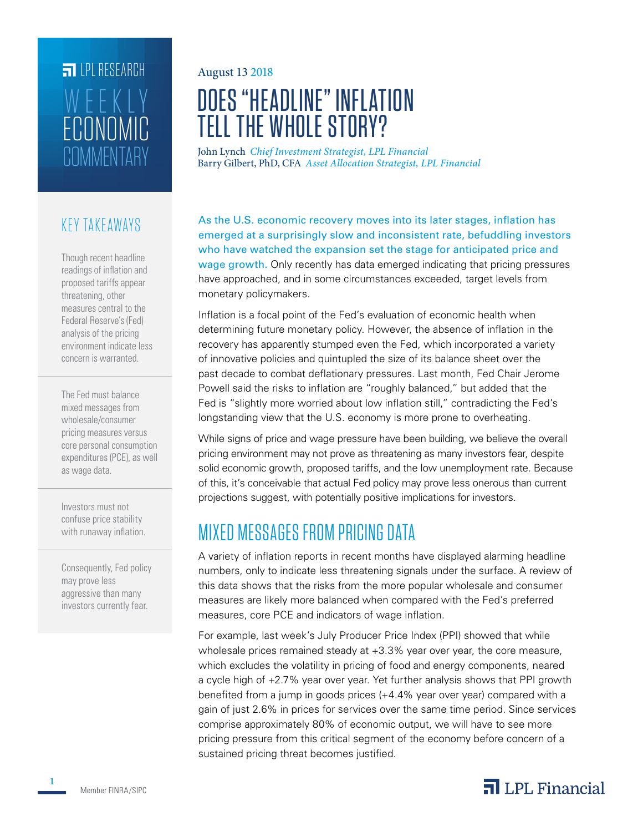## **FILLE** LPL RESEARCH **COMMENTARY** ECONOMIC WEEKLY

#### KEY TAKEAWAYS

Though recent headline readings of inflation and proposed tariffs appear threatening, other measures central to the Federal Reserve's (Fed) analysis of the pricing environment indicate less concern is warranted.

The Fed must balance mixed messages from wholesale/consumer pricing measures versus core personal consumption expenditures (PCE), as well as wage data.

Investors must not confuse price stability with runaway inflation.

Consequently, Fed policy may prove less aggressive than many investors currently fear.

#### August 13 2018

# DOES "HEADLINE" INFLATION TELL THE WHOLE STORY?

John Lynch *Chief Investment Strategist, LPL Financial* Barry Gilbert, PhD, CFA *Asset Allocation Strategist, LPL Financial*

As the U.S. economic recovery moves into its later stages, inflation has emerged at a surprisingly slow and inconsistent rate, befuddling investors who have watched the expansion set the stage for anticipated price and wage growth. Only recently has data emerged indicating that pricing pressures have approached, and in some circumstances exceeded, target levels from monetary policymakers.

Inflation is a focal point of the Fed's evaluation of economic health when determining future monetary policy. However, the absence of inflation in the recovery has apparently stumped even the Fed, which incorporated a variety of innovative policies and quintupled the size of its balance sheet over the past decade to combat deflationary pressures. Last month, Fed Chair Jerome Powell said the risks to inflation are "roughly balanced," but added that the Fed is "slightly more worried about low inflation still," contradicting the Fed's longstanding view that the U.S. economy is more prone to overheating.

While signs of price and wage pressure have been building, we believe the overall pricing environment may not prove as threatening as many investors fear, despite solid economic growth, proposed tariffs, and the low unemployment rate. Because of this, it's conceivable that actual Fed policy may prove less onerous than current projections suggest, with potentially positive implications for investors.

## MIXED MESSAGES FROM PRICING DATA

A variety of inflation reports in recent months have displayed alarming headline numbers, only to indicate less threatening signals under the surface. A review of this data shows that the risks from the more popular wholesale and consumer measures are likely more balanced when compared with the Fed's preferred measures, core PCE and indicators of wage inflation.

For example, last week's July Producer Price Index (PPI) showed that while wholesale prices remained steady at +3.3% year over year, the core measure, which excludes the volatility in pricing of food and energy components, neared a cycle high of +2.7% year over year. Yet further analysis shows that PPI growth benefited from a jump in goods prices (+4.4% year over year) compared with a gain of just 2.6% in prices for services over the same time period. Since services comprise approximately 80% of economic output, we will have to see more pricing pressure from this critical segment of the economy before concern of a sustained pricing threat becomes justified.

#### $\overline{\mathbf{a}}$  LPL Financial

**1**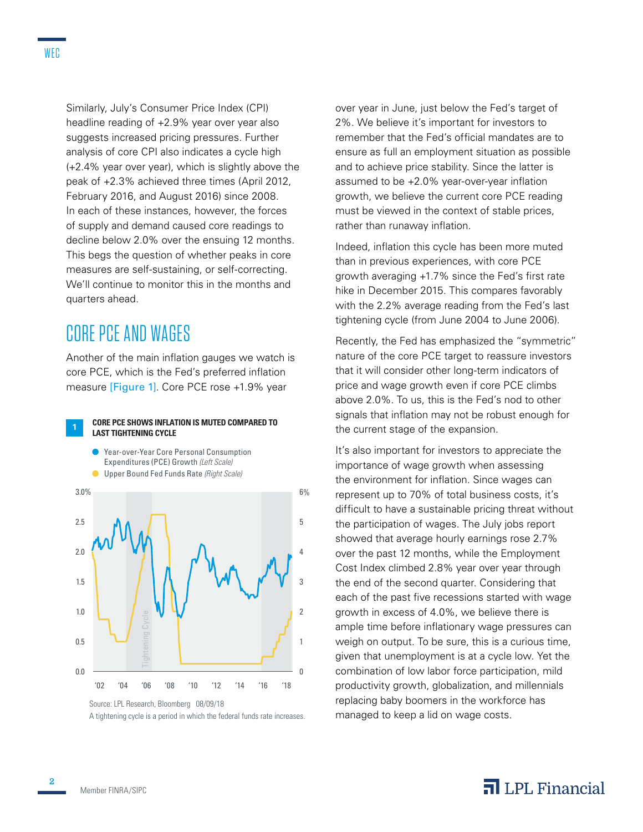WEC

headline reading of +2.9% year over year also suggests increased pricing pressures. Further analysis of core CPI also indicates a cycle high (+2.4% year over year), which is slightly above the peak of +2.3% achieved three times (April 2012, February 2016, and August 2016) since 2008. In each of these instances, however, the forces of supply and demand caused core readings to decline below 2.0% over the ensuing 12 months. This begs the question of whether peaks in core measures are self-sustaining, or self-correcting. We'll continue to monitor this in the months and quarters ahead.

### CORE PCE AND WAGES

Another of the main inflation gauges we watch is core PCE, which is the Fed's preferred inflation measure [Figure 1]. Core PCE rose +1.9% year

#### **<sup>1</sup>CORE PCE SHOWS INFLATION IS MUTED COMPARED TO LAST TIGHTENING CYCLE**



A tightening cycle is a period in which the federal funds rate increases.

over year in June, just below the Fed's target of 2%. We believe it's important for investors to remember that the Fed's official mandates are to ensure as full an employment situation as possible and to achieve price stability. Since the latter is assumed to be +2.0% year-over-year inflation growth, we believe the current core PCE reading must be viewed in the context of stable prices, rather than runaway inflation.

Indeed, inflation this cycle has been more muted than in previous experiences, with core PCE growth averaging +1.7% since the Fed's first rate hike in December 2015. This compares favorably with the 2.2% average reading from the Fed's last tightening cycle (from June 2004 to June 2006).

Recently, the Fed has emphasized the "symmetric" nature of the core PCE target to reassure investors that it will consider other long-term indicators of price and wage growth even if core PCE climbs above 2.0%. To us, this is the Fed's nod to other signals that inflation may not be robust enough for the current stage of the expansion.

It's also important for investors to appreciate the importance of wage growth when assessing the environment for inflation. Since wages can represent up to 70% of total business costs, it's difficult to have a sustainable pricing threat without the participation of wages. The July jobs report showed that average hourly earnings rose 2.7% over the past 12 months, while the Employment Cost Index climbed 2.8% year over year through the end of the second quarter. Considering that each of the past five recessions started with wage growth in excess of 4.0%, we believe there is ample time before inflationary wage pressures can weigh on output. To be sure, this is a curious time, given that unemployment is at a cycle low. Yet the combination of low labor force participation, mild productivity growth, globalization, and millennials replacing baby boomers in the workforce has managed to keep a lid on wage costs.

### $\overline{\mathbf{a}}$  LPL Financial

**2**